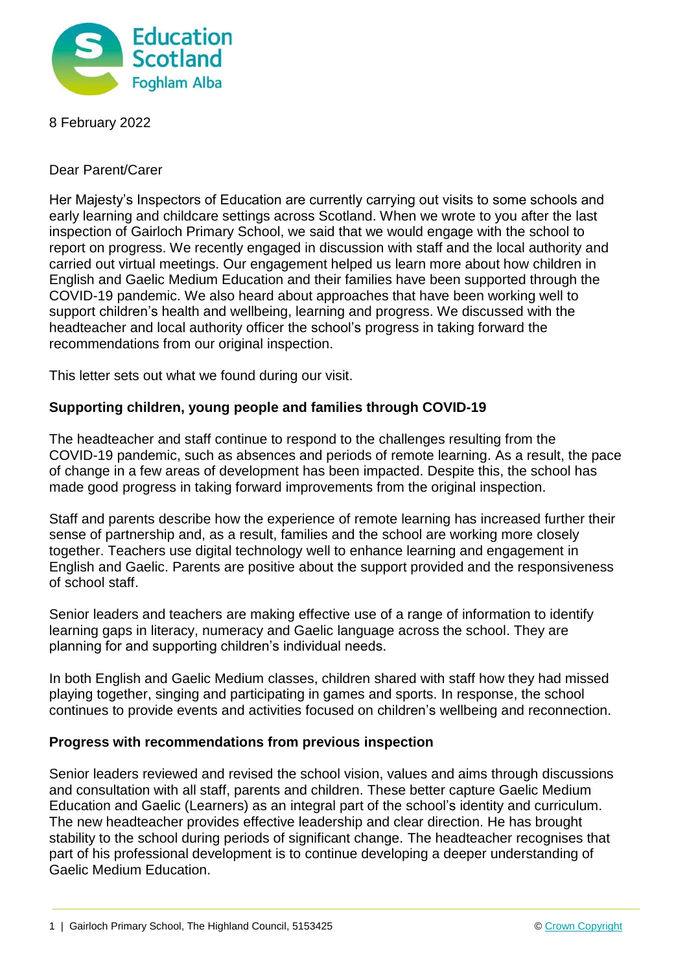

8 February 2022

Dear Parent/Carer

Her Majesty's Inspectors of Education are currently carrying out visits to some schools and early learning and childcare settings across Scotland. When we wrote to you after the last inspection of Gairloch Primary School, we said that we would engage with the school to report on progress. We recently engaged in discussion with staff and the local authority and carried out virtual meetings. Our engagement helped us learn more about how children in English and Gaelic Medium Education and their families have been supported through the COVID-19 pandemic. We also heard about approaches that have been working well to support children's health and wellbeing, learning and progress. We discussed with the headteacher and local authority officer the school's progress in taking forward the recommendations from our original inspection.

This letter sets out what we found during our visit.

## **Supporting children, young people and families through COVID-19**

The headteacher and staff continue to respond to the challenges resulting from the COVID-19 pandemic, such as absences and periods of remote learning. As a result, the pace of change in a few areas of development has been impacted. Despite this, the school has made good progress in taking forward improvements from the original inspection.

Staff and parents describe how the experience of remote learning has increased further their sense of partnership and, as a result, families and the school are working more closely together. Teachers use digital technology well to enhance learning and engagement in English and Gaelic. Parents are positive about the support provided and the responsiveness of school staff.

Senior leaders and teachers are making effective use of a range of information to identify learning gaps in literacy, numeracy and Gaelic language across the school. They are planning for and supporting children's individual needs.

In both English and Gaelic Medium classes, children shared with staff how they had missed playing together, singing and participating in games and sports. In response, the school continues to provide events and activities focused on children's wellbeing and reconnection.

## **Progress with recommendations from previous inspection**

Senior leaders reviewed and revised the school vision, values and aims through discussions and consultation with all staff, parents and children. These better capture Gaelic Medium Education and Gaelic (Learners) as an integral part of the school's identity and curriculum. The new headteacher provides effective leadership and clear direction. He has brought stability to the school during periods of significant change. The headteacher recognises that part of his professional development is to continue developing a deeper understanding of Gaelic Medium Education.